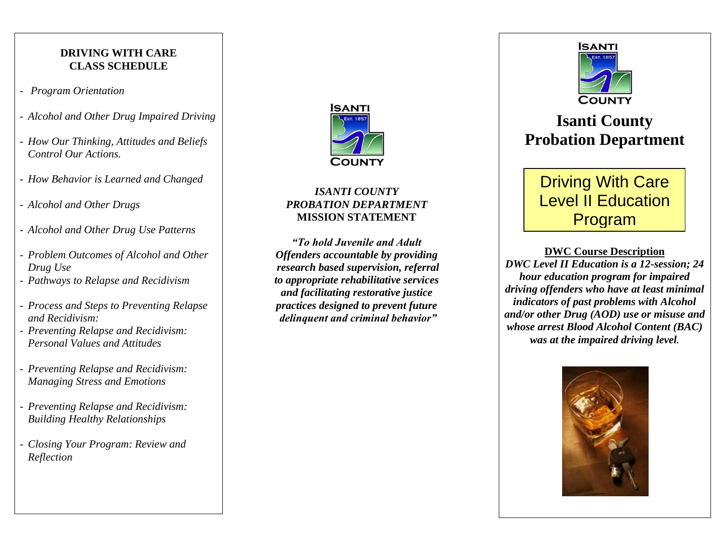## **DRIVING WITH CARE CLASS SCHEDULE**

- *Program Orientation*
- *Alcohol and Other Drug Impaired Driving*
- *How Our Thinking, Attitudes and Beliefs Control Our Actions.*
- *How Behavior is Learned and Changed*
- *Alcohol and Other Drugs*
- *Alcohol and Other Drug Use Patterns*
- *Problem Outcomes of Alcohol and Other Drug Use*
- *Pathways to Relapse and Recidivism*
- *Process and Steps to Preventing Relapse and Recidivism:*
- *Preventing Relapse and Recidivism: Personal Values and Attitudes*
- *Preventing Relapse and Recidivism: Managing Stress and Emotions*
- *Preventing Relapse and Recidivism: Building Healthy Relationships*
- *Closing Your Program: Review and Reflection*



### *ISANTI COUNTY PROBATION DEPARTMENT* **MISSION STATEMENT**

*"To hold Juvenile and Adult Offenders accountable by providing research based supervision, referral to appropriate rehabilitative services and facilitating restorative justice practices designed to prevent future delinquent and criminal behavior"*



# **Isanti County Probation Department**

## Driving With Care Level II Education Program

**DWC Course Description** *DWC Level II Education is a 12-session; 24 hour education program for impaired driving offenders who have at least minimal indicators of past problems with Alcohol and/or other Drug (AOD) use or misuse and whose arrest Blood Alcohol Content (BAC) was at the impaired driving level.*